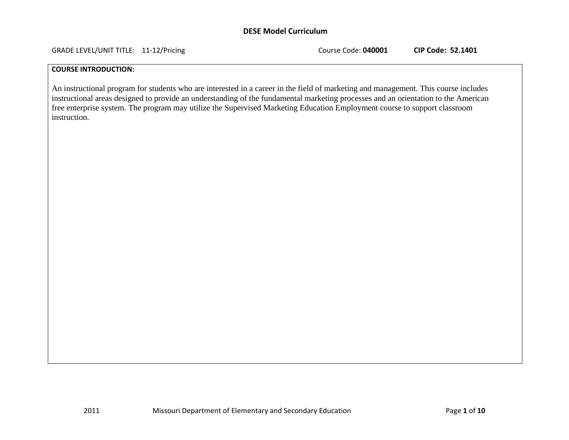GRADE LEVEL/UNIT TITLE: 11‐12/Pricing Course Code: **040001 CIP Code: 52.1401**

### **COURSE INTRODUCTION:**

An instructional program for students who are interested in a career in the field of marketing and management. This course includes instructional areas designed to provide an understanding of the fundamental marketing processes and an orientation to the American free enterprise system. The program may utilize the Supervised Marketing Education Employment course to support classroom instruction.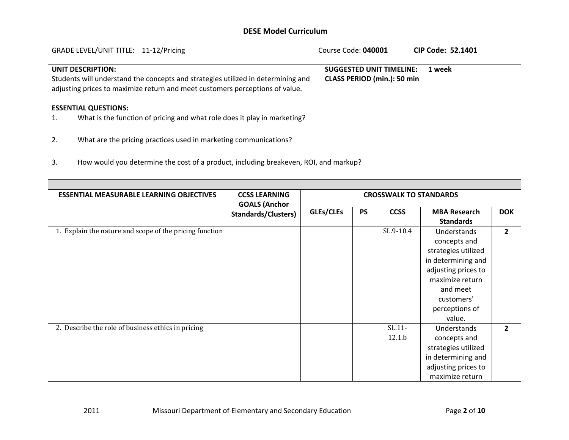| GRADE LEVEL/UNIT TITLE: 11-12/Pricing                                                                                                                                                        |                                              | Course Code: 040001 |           |                                                                | <b>CIP Code: 52.1401</b>                                                                                                                                                 |                |
|----------------------------------------------------------------------------------------------------------------------------------------------------------------------------------------------|----------------------------------------------|---------------------|-----------|----------------------------------------------------------------|--------------------------------------------------------------------------------------------------------------------------------------------------------------------------|----------------|
| <b>UNIT DESCRIPTION:</b><br>Students will understand the concepts and strategies utilized in determining and<br>adjusting prices to maximize return and meet customers perceptions of value. |                                              |                     |           | <b>SUGGESTED UNIT TIMELINE:</b><br>CLASS PERIOD (min.): 50 min | 1 week                                                                                                                                                                   |                |
| <b>ESSENTIAL QUESTIONS:</b>                                                                                                                                                                  |                                              |                     |           |                                                                |                                                                                                                                                                          |                |
| What is the function of pricing and what role does it play in marketing?<br>1.                                                                                                               |                                              |                     |           |                                                                |                                                                                                                                                                          |                |
| What are the pricing practices used in marketing communications?<br>2.                                                                                                                       |                                              |                     |           |                                                                |                                                                                                                                                                          |                |
| How would you determine the cost of a product, including breakeven, ROI, and markup?<br>3.                                                                                                   |                                              |                     |           |                                                                |                                                                                                                                                                          |                |
|                                                                                                                                                                                              |                                              |                     |           |                                                                |                                                                                                                                                                          |                |
| <b>ESSENTIAL MEASURABLE LEARNING OBJECTIVES</b>                                                                                                                                              | <b>CCSS LEARNING</b><br><b>GOALS (Anchor</b> |                     |           | <b>CROSSWALK TO STANDARDS</b>                                  |                                                                                                                                                                          |                |
|                                                                                                                                                                                              | <b>Standards/Clusters)</b>                   | GLEs/CLEs           | <b>PS</b> | <b>CCSS</b>                                                    | <b>MBA Research</b><br><b>Standards</b>                                                                                                                                  | <b>DOK</b>     |
| 1. Explain the nature and scope of the pricing function                                                                                                                                      |                                              |                     |           | SL.9-10.4                                                      | Understands<br>concepts and<br>strategies utilized<br>in determining and<br>adjusting prices to<br>maximize return<br>and meet<br>customers'<br>perceptions of<br>value. | $\overline{2}$ |
| 2. Describe the role of business ethics in pricing                                                                                                                                           |                                              |                     |           | $SL.11-$<br>12.1.b                                             | Understands<br>concepts and<br>strategies utilized<br>in determining and<br>adjusting prices to<br>maximize return                                                       | $\overline{2}$ |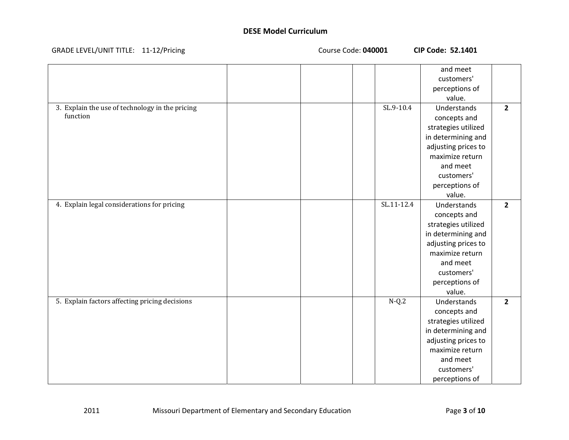| GRADE LEVEL/UNIT TITLE: 11-12/Pricin |
|--------------------------------------|
|--------------------------------------|

**LEVEL/UNIT TITLE:** 116 Course Code: 040001 **CIP Code: 52.1401** 

|                                                 |  |               | and meet            |                |
|-------------------------------------------------|--|---------------|---------------------|----------------|
|                                                 |  |               | customers'          |                |
|                                                 |  |               | perceptions of      |                |
|                                                 |  |               | value.              |                |
| 3. Explain the use of technology in the pricing |  | $SL.9 - 10.4$ | Understands         | $\overline{2}$ |
| function                                        |  |               | concepts and        |                |
|                                                 |  |               | strategies utilized |                |
|                                                 |  |               | in determining and  |                |
|                                                 |  |               | adjusting prices to |                |
|                                                 |  |               | maximize return     |                |
|                                                 |  |               | and meet            |                |
|                                                 |  |               | customers'          |                |
|                                                 |  |               | perceptions of      |                |
|                                                 |  |               | value.              |                |
| 4. Explain legal considerations for pricing     |  | SL.11-12.4    | Understands         | $\overline{2}$ |
|                                                 |  |               | concepts and        |                |
|                                                 |  |               | strategies utilized |                |
|                                                 |  |               | in determining and  |                |
|                                                 |  |               | adjusting prices to |                |
|                                                 |  |               | maximize return     |                |
|                                                 |  |               | and meet            |                |
|                                                 |  |               | customers'          |                |
|                                                 |  |               | perceptions of      |                |
|                                                 |  |               | value.              |                |
| 5. Explain factors affecting pricing decisions  |  | $N-Q.2$       | Understands         | $\overline{2}$ |
|                                                 |  |               | concepts and        |                |
|                                                 |  |               | strategies utilized |                |
|                                                 |  |               | in determining and  |                |
|                                                 |  |               | adjusting prices to |                |
|                                                 |  |               | maximize return     |                |
|                                                 |  |               | and meet            |                |
|                                                 |  |               | customers'          |                |
|                                                 |  |               | perceptions of      |                |

2011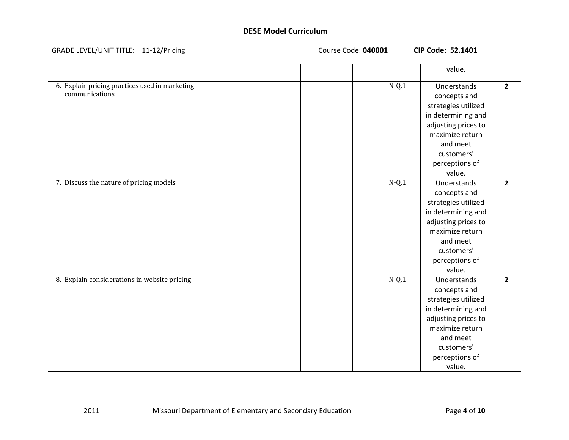#### GRADE LEVEL/UNIT TITLE: 11‐12/Pricing Course Code: **040001 CIP Code: 52.1401**

|                                                                  |  |         | value.                                                                                                                                                                   |                |
|------------------------------------------------------------------|--|---------|--------------------------------------------------------------------------------------------------------------------------------------------------------------------------|----------------|
| 6. Explain pricing practices used in marketing<br>communications |  | $N-Q.1$ | Understands<br>concepts and<br>strategies utilized<br>in determining and<br>adjusting prices to<br>maximize return<br>and meet<br>customers'<br>perceptions of<br>value. | $\overline{2}$ |
| 7. Discuss the nature of pricing models                          |  | $N-Q.1$ | Understands<br>concepts and<br>strategies utilized<br>in determining and<br>adjusting prices to<br>maximize return<br>and meet<br>customers'<br>perceptions of<br>value. | $\overline{2}$ |
| 8. Explain considerations in website pricing                     |  | $N-Q.1$ | Understands<br>concepts and<br>strategies utilized<br>in determining and<br>adjusting prices to<br>maximize return<br>and meet<br>customers'<br>perceptions of<br>value. | $\overline{2}$ |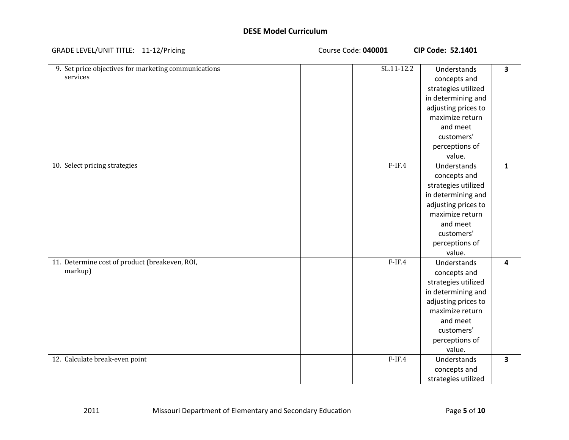#### GRADE LEVEL/UNIT TITLE: 11‐12/Pricing Course Code: **040001 CIP Code: 52.1401**

| 9. Set price objectives for marketing communications | SL.11-12.2 | Understands         | $\overline{\mathbf{3}}$ |
|------------------------------------------------------|------------|---------------------|-------------------------|
| services                                             |            | concepts and        |                         |
|                                                      |            | strategies utilized |                         |
|                                                      |            | in determining and  |                         |
|                                                      |            | adjusting prices to |                         |
|                                                      |            | maximize return     |                         |
|                                                      |            | and meet            |                         |
|                                                      |            | customers'          |                         |
|                                                      |            | perceptions of      |                         |
|                                                      |            | value.              |                         |
| 10. Select pricing strategies                        | $F-IF.4$   | Understands         | $\mathbf{1}$            |
|                                                      |            | concepts and        |                         |
|                                                      |            | strategies utilized |                         |
|                                                      |            | in determining and  |                         |
|                                                      |            | adjusting prices to |                         |
|                                                      |            | maximize return     |                         |
|                                                      |            | and meet            |                         |
|                                                      |            | customers'          |                         |
|                                                      |            | perceptions of      |                         |
|                                                      |            | value.              |                         |
| 11. Determine cost of product (breakeven, ROI,       | $F-IF.4$   | Understands         | 4                       |
| markup)                                              |            | concepts and        |                         |
|                                                      |            | strategies utilized |                         |
|                                                      |            | in determining and  |                         |
|                                                      |            | adjusting prices to |                         |
|                                                      |            | maximize return     |                         |
|                                                      |            | and meet            |                         |
|                                                      |            | customers'          |                         |
|                                                      |            | perceptions of      |                         |
|                                                      |            | value.              |                         |
| 12. Calculate break-even point                       | $F-IF.4$   | Understands         | $\overline{\mathbf{3}}$ |
|                                                      |            | concepts and        |                         |
|                                                      |            | strategies utilized |                         |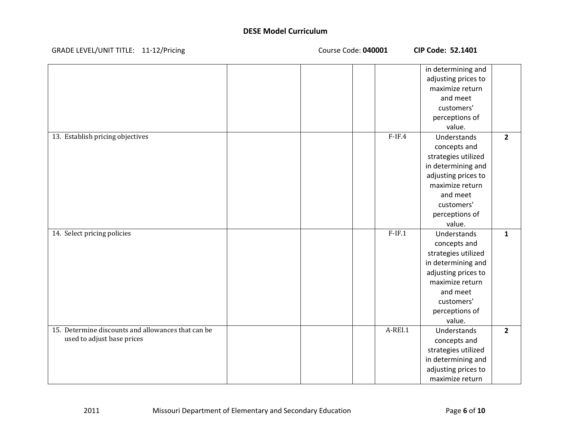| GRADE LEVEL/UNIT TITLE: 11-12/Pricing |  |
|---------------------------------------|--|
|---------------------------------------|--|

LEVEL/UNIT TITLE: 11‐12/Pricing Course Code: **040001 CIP Code: 52.1401**

|                                                    |  |          | in determining and  |                |
|----------------------------------------------------|--|----------|---------------------|----------------|
|                                                    |  |          | adjusting prices to |                |
|                                                    |  |          | maximize return     |                |
|                                                    |  |          | and meet            |                |
|                                                    |  |          | customers'          |                |
|                                                    |  |          | perceptions of      |                |
|                                                    |  |          | value.              |                |
| 13. Establish pricing objectives                   |  | $F-IF.4$ | Understands         | $\overline{2}$ |
|                                                    |  |          | concepts and        |                |
|                                                    |  |          | strategies utilized |                |
|                                                    |  |          | in determining and  |                |
|                                                    |  |          | adjusting prices to |                |
|                                                    |  |          | maximize return     |                |
|                                                    |  |          | and meet            |                |
|                                                    |  |          | customers'          |                |
|                                                    |  |          | perceptions of      |                |
|                                                    |  |          | value.              |                |
| 14. Select pricing policies                        |  | $F-IF.1$ | Understands         | $\mathbf{1}$   |
|                                                    |  |          | concepts and        |                |
|                                                    |  |          | strategies utilized |                |
|                                                    |  |          | in determining and  |                |
|                                                    |  |          | adjusting prices to |                |
|                                                    |  |          | maximize return     |                |
|                                                    |  |          | and meet            |                |
|                                                    |  |          | customers'          |                |
|                                                    |  |          | perceptions of      |                |
|                                                    |  |          | value.              |                |
| 15. Determine discounts and allowances that can be |  | A-REI.1  | Understands         | $\overline{2}$ |
| used to adjust base prices                         |  |          | concepts and        |                |
|                                                    |  |          | strategies utilized |                |
|                                                    |  |          | in determining and  |                |
|                                                    |  |          | adjusting prices to |                |
|                                                    |  |          | maximize return     |                |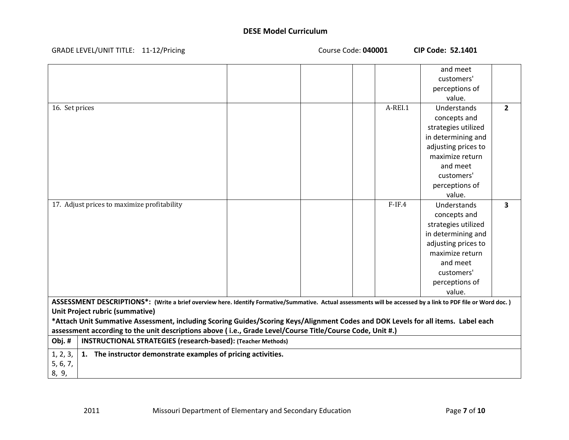| GRADE LEVEL/UNIT TITLE: 11-12/Pricing                                                                                                                                                                                                                                                                                                                                                                                                                                                                                              | Course Code: 040001 | <b>CIP Code: 52.1401</b>                                                                                                                                                                   |
|------------------------------------------------------------------------------------------------------------------------------------------------------------------------------------------------------------------------------------------------------------------------------------------------------------------------------------------------------------------------------------------------------------------------------------------------------------------------------------------------------------------------------------|---------------------|--------------------------------------------------------------------------------------------------------------------------------------------------------------------------------------------|
|                                                                                                                                                                                                                                                                                                                                                                                                                                                                                                                                    |                     | and meet<br>customers'<br>perceptions of<br>value.                                                                                                                                         |
| 16. Set prices                                                                                                                                                                                                                                                                                                                                                                                                                                                                                                                     | A-REI.1             | Understands<br>$\overline{2}$<br>concepts and<br>strategies utilized<br>in determining and<br>adjusting prices to<br>maximize return<br>and meet<br>customers'<br>perceptions of<br>value. |
| 17. Adjust prices to maximize profitability                                                                                                                                                                                                                                                                                                                                                                                                                                                                                        | $F-IF.4$            | Understands<br>$\mathbf{3}$<br>concepts and<br>strategies utilized<br>in determining and<br>adjusting prices to<br>maximize return<br>and meet<br>customers'<br>perceptions of<br>value.   |
| ASSESSMENT DESCRIPTIONS*: (Write a brief overview here. Identify Formative/Summative. Actual assessments will be accessed by a link to PDF file or Word doc.)<br>Unit Project rubric (summative)<br>*Attach Unit Summative Assessment, including Scoring Guides/Scoring Keys/Alignment Codes and DOK Levels for all items. Label each<br>assessment according to the unit descriptions above (i.e., Grade Level/Course Title/Course Code, Unit #.)<br>Obj.#<br><b>INSTRUCTIONAL STRATEGIES (research-based): (Teacher Methods)</b> |                     |                                                                                                                                                                                            |
| 1, 2, 3,<br>1. The instructor demonstrate examples of pricing activities.<br>5, 6, 7,<br>8, 9,                                                                                                                                                                                                                                                                                                                                                                                                                                     |                     |                                                                                                                                                                                            |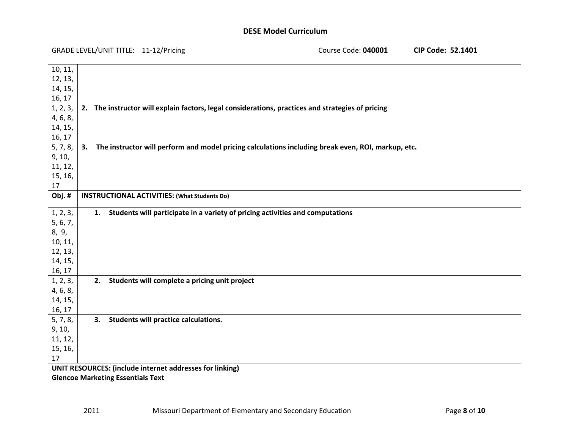| <b>GRADE LEVEL/UNIT TITLE:</b> | 11-12/Pricing |
|--------------------------------|---------------|
|--------------------------------|---------------|

2011

LEVEL/UNIT TITLE: 11‐12/Pricing Course Code: **040001 CIP Code: 52.1401**

| 10, 11,                                  |                                                                                                    |
|------------------------------------------|----------------------------------------------------------------------------------------------------|
| 12, 13,                                  |                                                                                                    |
| 14, 15,                                  |                                                                                                    |
| 16, 17                                   |                                                                                                    |
| 1, 2, 3,                                 | 2. The instructor will explain factors, legal considerations, practices and strategies of pricing  |
| 4, 6, 8,                                 |                                                                                                    |
| 14, 15,                                  |                                                                                                    |
| 16, 17                                   |                                                                                                    |
| 5, 7, 8,<br>3.                           | The instructor will perform and model pricing calculations including break even, ROI, markup, etc. |
| 9, 10,                                   |                                                                                                    |
| 11, 12,                                  |                                                                                                    |
| 15, 16,                                  |                                                                                                    |
| 17                                       |                                                                                                    |
| Obj.#                                    | <b>INSTRUCTIONAL ACTIVITIES: (What Students Do)</b>                                                |
|                                          |                                                                                                    |
| 1, 2, 3,<br>1.<br>5, 6, 7,               | Students will participate in a variety of pricing activities and computations                      |
| 8, 9,                                    |                                                                                                    |
| 10, 11,                                  |                                                                                                    |
| 12, 13,                                  |                                                                                                    |
| 14, 15,                                  |                                                                                                    |
| 16, 17                                   |                                                                                                    |
| 1, 2, 3,                                 | 2. Students will complete a pricing unit project                                                   |
| 4, 6, 8,                                 |                                                                                                    |
| 14, 15,                                  |                                                                                                    |
| 16, 17                                   |                                                                                                    |
| 5, 7, 8,<br>3.                           | Students will practice calculations.                                                               |
| 9, 10,                                   |                                                                                                    |
| 11, 12,                                  |                                                                                                    |
| 15, 16,                                  |                                                                                                    |
| 17                                       |                                                                                                    |
|                                          | UNIT RESOURCES: (include internet addresses for linking)                                           |
| <b>Glencoe Marketing Essentials Text</b> |                                                                                                    |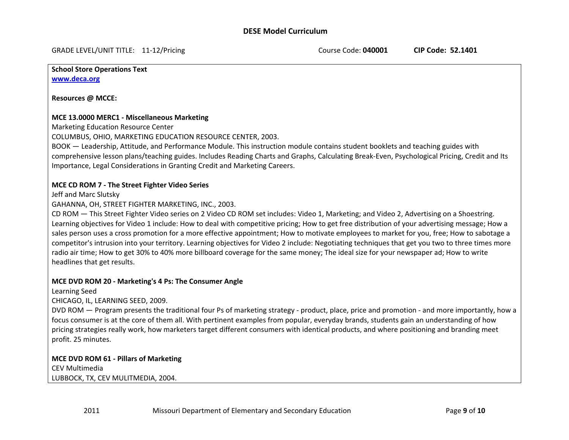GRADE LEVEL/UNIT TITLE: 11‐12/Pricing Course Code: **040001 CIP Code: 52.1401**

**School Store Operations Text www.deca.org**

**Resources @ MCCE:**

#### **MCE 13.0000 MERC1 ‐ Miscellaneous Marketing**

Marketing Education Resource Center

COLUMBUS, OHIO, MARKETING EDUCATION RESOURCE CENTER, 2003.

BOOK — Leadership, Attitude, and Performance Module. This instruction module contains student booklets and teaching guides with comprehensive lesson plans/teaching guides. Includes Reading Charts and Graphs, Calculating Break‐Even, Psychological Pricing, Credit and Its Importance, Legal Considerations in Granting Credit and Marketing Careers.

### **MCE CD ROM 7 ‐ The Street Fighter Video Series**

Jeff and Marc Slutsky

GAHANNA, OH, STREET FIGHTER MARKETING, INC., 2003.

CD ROM — This Street Fighter Video series on 2 Video CD ROM set includes: Video 1, Marketing; and Video 2, Advertising on <sup>a</sup> Shoestring. Learning objectives for Video 1 include: How to deal with competitive pricing; How to get free distribution of your advertising message; How <sup>a</sup> sales person uses <sup>a</sup> cross promotion for <sup>a</sup> more effective appointment; How to motivate employees to market for you, free; How to sabotage <sup>a</sup> competitor's intrusion into your territory. Learning objectives for Video 2 include: Negotiating techniques that get you two to three times more radio air time; How to get 30% to 40% more billboard coverage for the same money; The ideal size for your newspaper ad; How to write headlines that get results.

### **MCE DVD ROM 20 ‐ Marketing's 4 Ps: The Consumer Angle**

Learning Seed

CHICAGO, IL, LEARNING SEED, 2009.

DVD ROM — Program presents the traditional four Ps of marketing strategy ‐ product, place, price and promotion ‐ and more importantly, how <sup>a</sup> focus consumer is at the core of them all. With pertinent examples from popular, everyday brands, students gain an understanding of how pricing strategies really work, how marketers target different consumers with identical products, and where positioning and branding meet profit. 25 minutes.

# **MCE DVD ROM 61 ‐ Pillars of Marketing** CEV Multimedia LUBBOCK, TX, CEV MULITMEDIA, 2004.